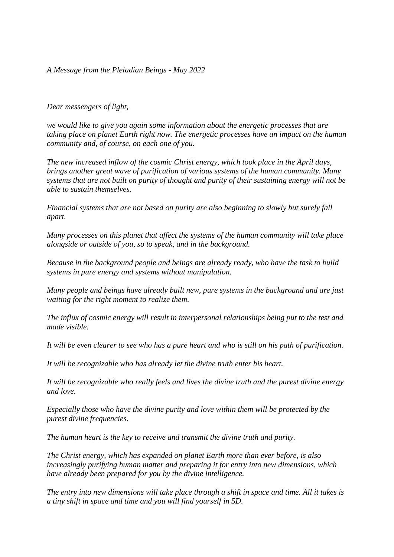## *A Message from the Pleiadian Beings - May 2022*

## *Dear messengers of light,*

*we would like to give you again some information about the energetic processes that are taking place on planet Earth right now. The energetic processes have an impact on the human community and, of course, on each one of you.*

*The new increased inflow of the cosmic Christ energy, which took place in the April days, brings another great wave of purification of various systems of the human community. Many systems that are not built on purity of thought and purity of their sustaining energy will not be able to sustain themselves.*

*Financial systems that are not based on purity are also beginning to slowly but surely fall apart.*

*Many processes on this planet that affect the systems of the human community will take place alongside or outside of you, so to speak, and in the background.* 

*Because in the background people and beings are already ready, who have the task to build systems in pure energy and systems without manipulation.* 

*Many people and beings have already built new, pure systems in the background and are just waiting for the right moment to realize them.*

*The influx of cosmic energy will result in interpersonal relationships being put to the test and made visible.* 

*It will be even clearer to see who has a pure heart and who is still on his path of purification.* 

*It will be recognizable who has already let the divine truth enter his heart.* 

*It will be recognizable who really feels and lives the divine truth and the purest divine energy and love.*

*Especially those who have the divine purity and love within them will be protected by the purest divine frequencies.* 

*The human heart is the key to receive and transmit the divine truth and purity.*

*The Christ energy, which has expanded on planet Earth more than ever before, is also increasingly purifying human matter and preparing it for entry into new dimensions, which have already been prepared for you by the divine intelligence.* 

*The entry into new dimensions will take place through a shift in space and time. All it takes is a tiny shift in space and time and you will find yourself in 5D.*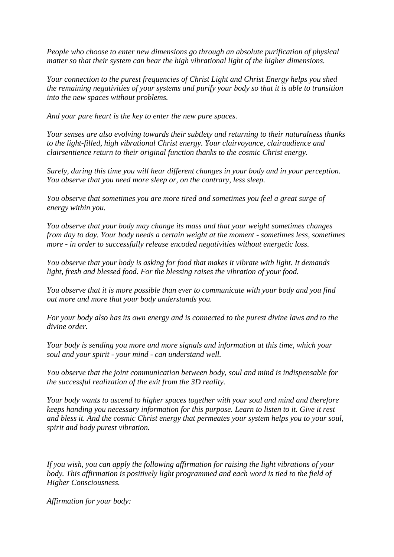*People who choose to enter new dimensions go through an absolute purification of physical matter so that their system can bear the high vibrational light of the higher dimensions.*

*Your connection to the purest frequencies of Christ Light and Christ Energy helps you shed the remaining negativities of your systems and purify your body so that it is able to transition into the new spaces without problems.*

*And your pure heart is the key to enter the new pure spaces.*

*Your senses are also evolving towards their subtlety and returning to their naturalness thanks to the light-filled, high vibrational Christ energy. Your clairvoyance, clairaudience and clairsentience return to their original function thanks to the cosmic Christ energy.*

*Surely, during this time you will hear different changes in your body and in your perception. You observe that you need more sleep or, on the contrary, less sleep.*

*You observe that sometimes you are more tired and sometimes you feel a great surge of energy within you.*

*You observe that your body may change its mass and that your weight sometimes changes from day to day. Your body needs a certain weight at the moment - sometimes less, sometimes more - in order to successfully release encoded negativities without energetic loss.*

*You observe that your body is asking for food that makes it vibrate with light. It demands light, fresh and blessed food. For the blessing raises the vibration of your food.*

*You observe that it is more possible than ever to communicate with your body and you find out more and more that your body understands you.*

*For your body also has its own energy and is connected to the purest divine laws and to the divine order.*

*Your body is sending you more and more signals and information at this time, which your soul and your spirit - your mind - can understand well.*

*You observe that the joint communication between body, soul and mind is indispensable for the successful realization of the exit from the 3D reality.*

*Your body wants to ascend to higher spaces together with your soul and mind and therefore keeps handing you necessary information for this purpose. Learn to listen to it. Give it rest and bless it. And the cosmic Christ energy that permeates your system helps you to your soul, spirit and body purest vibration.*

*If you wish, you can apply the following affirmation for raising the light vibrations of your body. This affirmation is positively light programmed and each word is tied to the field of Higher Consciousness.*

*Affirmation for your body:*